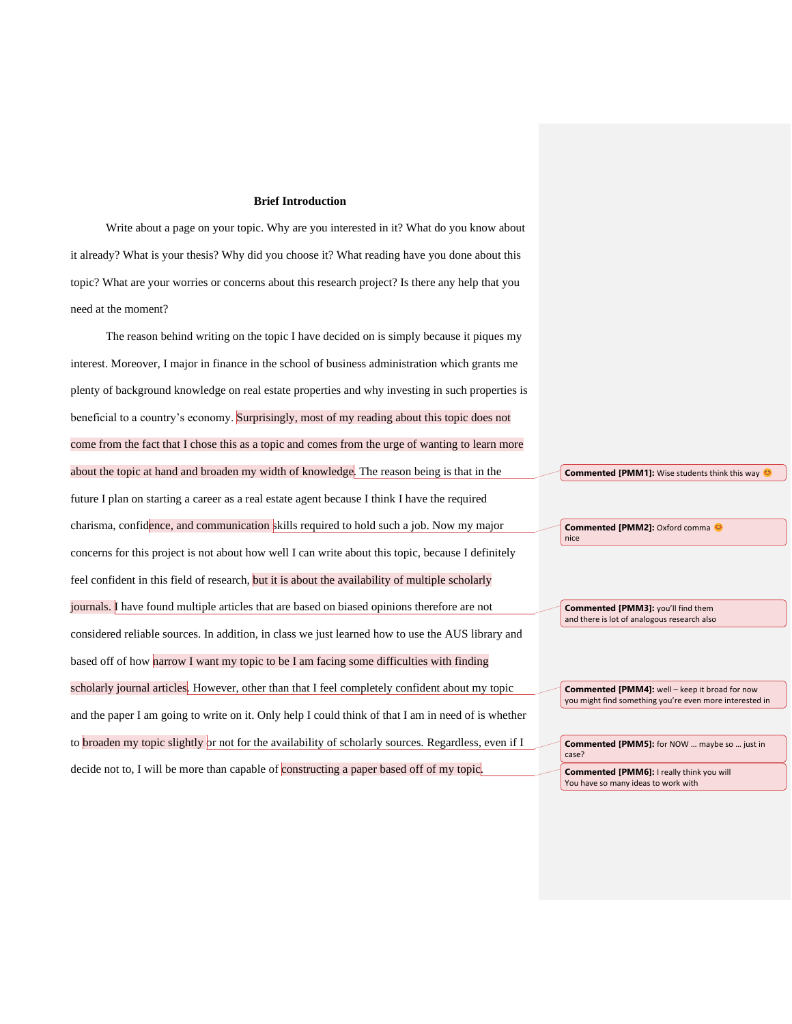#### **Brief Introduction**

Write about a page on your topic. Why are you interested in it? What do you know about it already? What is your thesis? Why did you choose it? What reading have you done about this topic? What are your worries or concerns about this research project? Is there any help that you need at the moment?

The reason behind writing on the topic I have decided on is simply because it piques my interest. Moreover, I major in finance in the school of business administration which grants me plenty of background knowledge on real estate properties and why investing in such properties is beneficial to a country's economy. Surprisingly, most of my reading about this topic does not come from the fact that I chose this as a topic and comes from the urge of wanting to learn more about the topic at hand and broaden my width of knowledge. The reason being is that in the future I plan on starting a career as a real estate agent because I think I have the required charisma, confidence, and communication skills required to hold such a job. Now my major concerns for this project is not about how well I can write about this topic, because I definitely feel confident in this field of research, but it is about the availability of multiple scholarly journals. I have found multiple articles that are based on biased opinions therefore are not considered reliable sources. In addition, in class we just learned how to use the AUS library and based off of how narrow I want my topic to be I am facing some difficulties with finding scholarly journal articles. However, other than that I feel completely confident about my topic and the paper I am going to write on it. Only help I could think of that I am in need of is whether to **broaden** my topic slightly or not for the availability of scholarly sources. Regardless, even if I decide not to, I will be more than capable of constructing a paper based off of my topic.

**Commented [PMM1]:** Wise students think this way

**Commented [PMM2]:** Oxford comma nice

**Commented [PMM3]:** you'll find them and there is lot of analogous research also

**Commented [PMM4]:** well – keep it broad for now you might find something you're even more interested in

**Commented [PMM5]:** for NOW … maybe so … just in case? **Commented [PMM6]:** I really think you will You have so many ideas to work with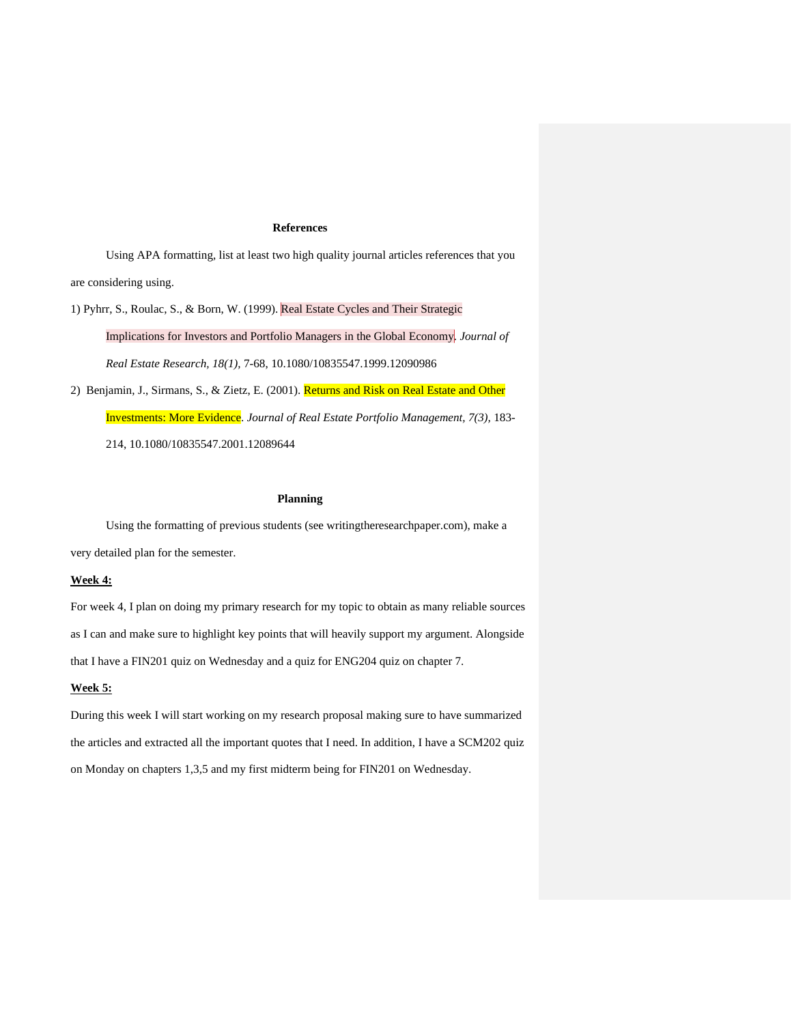### **References**

Using APA formatting, list at least two high quality journal articles references that you are considering using.

1) Pyhrr, S., Roulac, S., & Born, W. (1999). Real Estate Cycles and Their Strategic Implications for Investors and Portfolio Managers in the Global Economy. *Journal of Real Estate Research, 18(1),* 7-68, 10.1080/10835547.1999.12090986

2) Benjamin, J., Sirmans, S., & Zietz, E. (2001). Returns and Risk on Real Estate and Other Investments: More Evidence. *Journal of Real Estate Portfolio Management, 7(3),* 183- 214, 10.1080/10835547.2001.12089644

### **Planning**

Using the formatting of previous students (see writingtheresearchpaper.com), make a very detailed plan for the semester.

## **Week 4:**

For week 4, I plan on doing my primary research for my topic to obtain as many reliable sources as I can and make sure to highlight key points that will heavily support my argument. Alongside that I have a FIN201 quiz on Wednesday and a quiz for ENG204 quiz on chapter 7.

### **Week 5:**

During this week I will start working on my research proposal making sure to have summarized the articles and extracted all the important quotes that I need. In addition, I have a SCM202 quiz on Monday on chapters 1,3,5 and my first midterm being for FIN201 on Wednesday.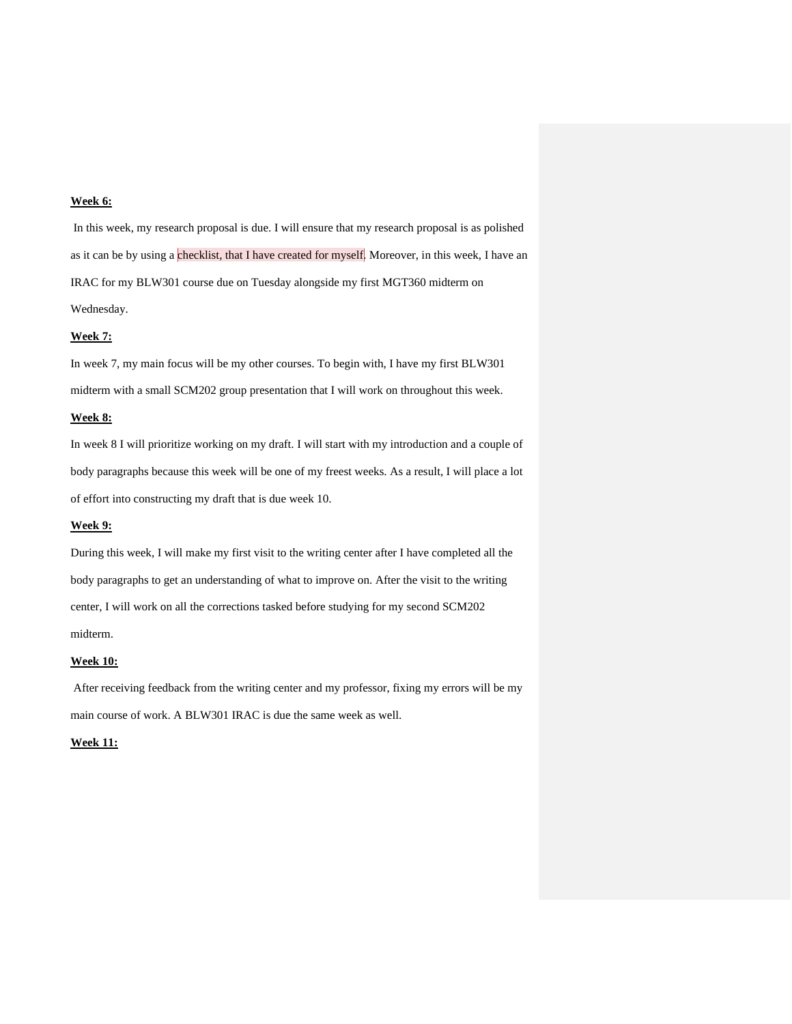## **Week 6:**

In this week, my research proposal is due. I will ensure that my research proposal is as polished as it can be by using a checklist, that I have created for myself. Moreover, in this week, I have an IRAC for my BLW301 course due on Tuesday alongside my first MGT360 midterm on Wednesday.

### **Week 7:**

In week 7, my main focus will be my other courses. To begin with, I have my first BLW301 midterm with a small SCM202 group presentation that I will work on throughout this week.

### **Week 8:**

In week 8 I will prioritize working on my draft. I will start with my introduction and a couple of body paragraphs because this week will be one of my freest weeks. As a result, I will place a lot of effort into constructing my draft that is due week 10.

# **Week 9:**

During this week, I will make my first visit to the writing center after I have completed all the body paragraphs to get an understanding of what to improve on. After the visit to the writing center, I will work on all the corrections tasked before studying for my second SCM202 midterm.

#### **Week 10:**

After receiving feedback from the writing center and my professor, fixing my errors will be my main course of work. A BLW301 IRAC is due the same week as well.

## **Week 11:**